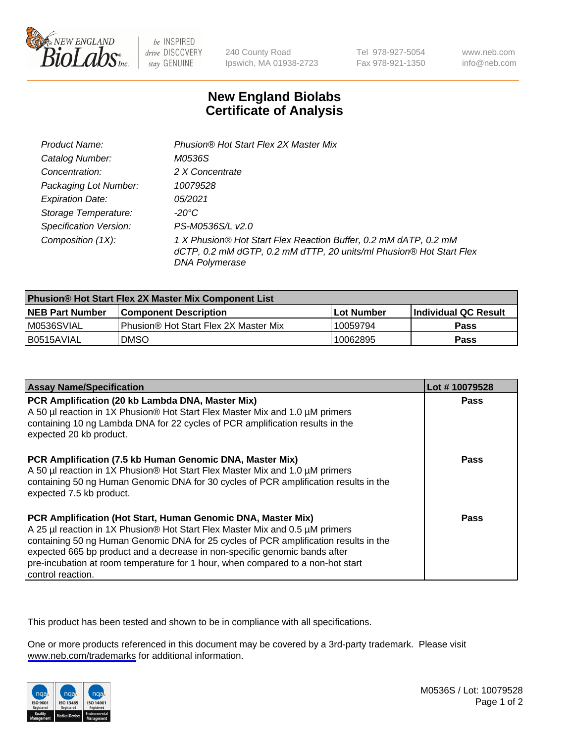

be INSPIRED drive DISCOVERY stay GENUINE

240 County Road Ipswich, MA 01938-2723 Tel 978-927-5054 Fax 978-921-1350

www.neb.com info@neb.com

## **New England Biolabs Certificate of Analysis**

| Product Name:                 | Phusion® Hot Start Flex 2X Master Mix                                                                                                                     |
|-------------------------------|-----------------------------------------------------------------------------------------------------------------------------------------------------------|
| Catalog Number:               | M0536S                                                                                                                                                    |
| Concentration:                | 2 X Concentrate                                                                                                                                           |
| Packaging Lot Number:         | 10079528                                                                                                                                                  |
| <b>Expiration Date:</b>       | 05/2021                                                                                                                                                   |
| Storage Temperature:          | -20°C                                                                                                                                                     |
| <b>Specification Version:</b> | PS-M0536S/L v2.0                                                                                                                                          |
| Composition (1X):             | 1 X Phusion® Hot Start Flex Reaction Buffer, 0.2 mM dATP, 0.2 mM<br>dCTP, 0.2 mM dGTP, 0.2 mM dTTP, 20 units/ml Phusion® Hot Start Flex<br>DNA Polymerase |

| <b>Phusion® Hot Start Flex 2X Master Mix Component List</b> |                                       |            |                             |  |
|-------------------------------------------------------------|---------------------------------------|------------|-----------------------------|--|
| <b>NEB Part Number</b>                                      | <b>Component Description</b>          | Lot Number | <b>Individual QC Result</b> |  |
| IM0536SVIAL                                                 | Phusion® Hot Start Flex 2X Master Mix | 10059794   | <b>Pass</b>                 |  |
| I B0515AVIAL                                                | DMSO                                  | 10062895   | Pass                        |  |

| <b>Assay Name/Specification</b>                                                                                                                                                                                                                                                                                                                                                                                            | Lot #10079528 |
|----------------------------------------------------------------------------------------------------------------------------------------------------------------------------------------------------------------------------------------------------------------------------------------------------------------------------------------------------------------------------------------------------------------------------|---------------|
| PCR Amplification (20 kb Lambda DNA, Master Mix)<br>A 50 µl reaction in 1X Phusion® Hot Start Flex Master Mix and 1.0 µM primers<br>containing 10 ng Lambda DNA for 22 cycles of PCR amplification results in the<br>expected 20 kb product.                                                                                                                                                                               | <b>Pass</b>   |
| PCR Amplification (7.5 kb Human Genomic DNA, Master Mix)<br>A 50 µl reaction in 1X Phusion® Hot Start Flex Master Mix and 1.0 µM primers<br>containing 50 ng Human Genomic DNA for 30 cycles of PCR amplification results in the<br>expected 7.5 kb product.                                                                                                                                                               | <b>Pass</b>   |
| PCR Amplification (Hot Start, Human Genomic DNA, Master Mix)<br>A 25 µl reaction in 1X Phusion® Hot Start Flex Master Mix and 0.5 µM primers<br>containing 50 ng Human Genomic DNA for 25 cycles of PCR amplification results in the<br>expected 665 bp product and a decrease in non-specific genomic bands after<br>pre-incubation at room temperature for 1 hour, when compared to a non-hot start<br>control reaction. | Pass          |

This product has been tested and shown to be in compliance with all specifications.

One or more products referenced in this document may be covered by a 3rd-party trademark. Please visit <www.neb.com/trademarks>for additional information.